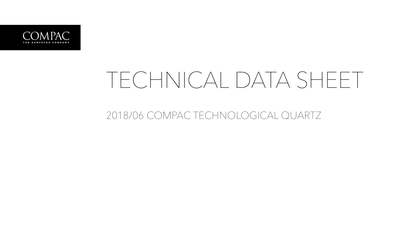

## TECHNICAL DATA SHEET

2018/06 COMPAC TECHNOLOGICAL QUARTZ